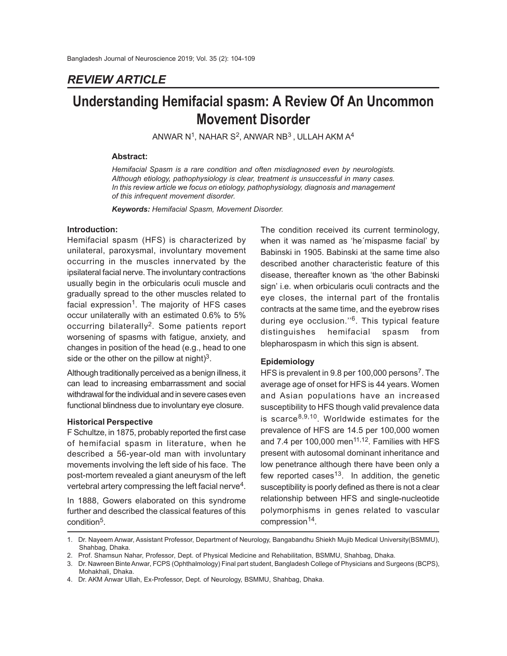# *REVIEW ARTICLE*

# **Understanding Hemifacial spasm: A Review Of An Uncommon Movement Disorder**

ANWAR N $^1$ , NAHAR S $^2$ , ANWAR NB $^3$  , ULLAH AKM A $^4$ 

#### **Abstract:**

*Hemifacial Spasm is a rare condition and often misdiagnosed even by neurologists. Although etiology, pathophysiology is clear, treatment is unsuccessful in many cases. In this review article we focus on etiology, pathophysiology, diagnosis and management of this infrequent movement disorder.*

*Keywords: Hemifacial Spasm, Movement Disorder.*

#### **Introduction:**

Hemifacial spasm (HFS) is characterized by unilateral, paroxysmal, involuntary movement occurring in the muscles innervated by the ipsilateral facial nerve. The involuntary contractions usually begin in the orbicularis oculi muscle and gradually spread to the other muscles related to facial expression<sup>1</sup>. The majority of HFS cases occur unilaterally with an estimated 0.6% to 5% occurring bilaterally<sup>2</sup>. Some patients report worsening of spasms with fatigue, anxiety, and changes in position of the head (e.g., head to one side or the other on the pillow at night)<sup>3</sup>.

Although traditionally perceived as a benign illness, it can lead to increasing embarrassment and social withdrawal for the individual and in severe cases even functional blindness due to involuntary eye closure.

#### **Historical Perspective**

F Schultze, in 1875, probably reported the first case of hemifacial spasm in literature, when he described a 56-year-old man with involuntary movements involving the left side of his face. The post-mortem revealed a giant aneurysm of the left vertebral artery compressing the left facial nerve<sup>4</sup>.

In 1888, Gowers elaborated on this syndrome further and described the classical features of this condition<sup>5</sup>.

The condition received its current terminology, when it was named as 'he´mispasme facial' by Babinski in 1905. Babinski at the same time also described another characteristic feature of this disease, thereafter known as 'the other Babinski sign' i.e. when orbicularis oculi contracts and the eye closes, the internal part of the frontalis contracts at the same time, and the eyebrow rises during eye occlusion."<sup>6</sup>. This typical feature distinguishes hemifacial spasm from blepharospasm in which this sign is absent.

#### **Epidemiology**

HFS is prevalent in 9.8 per 100,000 persons<sup>7</sup>. The average age of onset for HFS is 44 years. Women and Asian populations have an increased susceptibility to HFS though valid prevalence data is scarce<sup>8,9,10</sup>. Worldwide estimates for the prevalence of HFS are 14.5 per 100,000 women and 7.4 per 100,000 men $11,12$ . Families with HFS present with autosomal dominant inheritance and low penetrance although there have been only a few reported cases<sup>13</sup>. In addition, the genetic susceptibility is poorly defined as there is not a clear relationship between HFS and single-nucleotide polymorphisms in genes related to vascular compression<sup>14</sup>.

<sup>1.</sup> Dr. Nayeem Anwar, Assistant Professor, Department of Neurology, Bangabandhu Shiekh Mujib Medical University(BSMMU), Shahbag, Dhaka.

<sup>2.</sup> Prof. Shamsun Nahar, Professor, Dept. of Physical Medicine and Rehabilitation, BSMMU, Shahbag, Dhaka.

<sup>3.</sup> Dr. Nawreen Binte Anwar, FCPS (Ophthalmology) Final part student, Bangladesh College of Physicians and Surgeons (BCPS), Mohakhali, Dhaka.

<sup>4.</sup> Dr. AKM Anwar Ullah, Ex-Professor, Dept. of Neurology, BSMMU, Shahbag, Dhaka.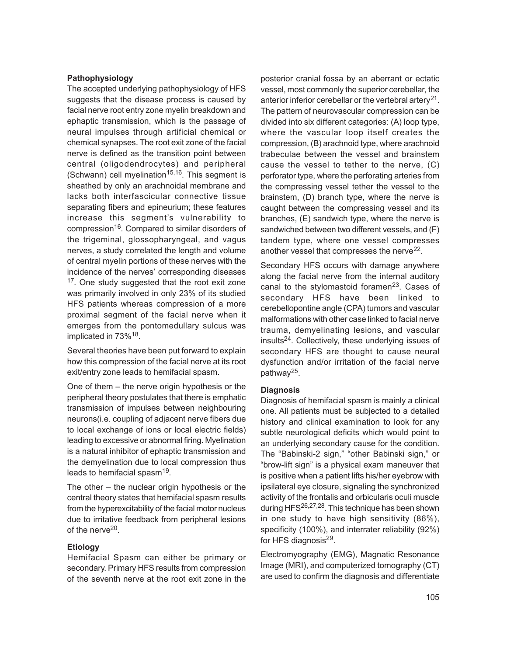#### **Pathophysiology**

The accepted underlying pathophysiology of HFS suggests that the disease process is caused by facial nerve root entry zone myelin breakdown and ephaptic transmission, which is the passage of neural impulses through artificial chemical or chemical synapses. The root exit zone of the facial nerve is defined as the transition point between central (oligodendrocytes) and peripheral (Schwann) cell myelination<sup>15,16</sup>. This segment is sheathed by only an arachnoidal membrane and lacks both interfascicular connective tissue separating fibers and epineurium; these features increase this segment's vulnerability to compression<sup>16</sup>. Compared to similar disorders of the trigeminal, glossopharyngeal, and vagus nerves, a study correlated the length and volume of central myelin portions of these nerves with the incidence of the nerves' corresponding diseases <sup>17</sup>. One study suggested that the root exit zone was primarily involved in only 23% of its studied HFS patients whereas compression of a more proximal segment of the facial nerve when it emerges from the pontomedullary sulcus was implicated in 73%<sup>18</sup>.

Several theories have been put forward to explain how this compression of the facial nerve at its root exit/entry zone leads to hemifacial spasm.

One of them – the nerve origin hypothesis or the peripheral theory postulates that there is emphatic transmission of impulses between neighbouring neurons(i.e. coupling of adjacent nerve fibers due to local exchange of ions or local electric fields) leading to excessive or abnormal firing. Myelination is a natural inhibitor of ephaptic transmission and the demyelination due to local compression thus leads to hemifacial spasm<sup>19</sup>.

The other – the nuclear origin hypothesis or the central theory states that hemifacial spasm results from the hyperexcitability of the facial motor nucleus due to irritative feedback from peripheral lesions of the nerve<sup>20</sup>.

# **Etiology**

Hemifacial Spasm can either be primary or secondary. Primary HFS results from compression of the seventh nerve at the root exit zone in the

posterior cranial fossa by an aberrant or ectatic vessel, most commonly the superior cerebellar, the anterior inferior cerebellar or the vertebral artery<sup>21</sup>. The pattern of neurovascular compression can be divided into six different categories: (A) loop type, where the vascular loop itself creates the compression, (B) arachnoid type, where arachnoid trabeculae between the vessel and brainstem cause the vessel to tether to the nerve, (C) perforator type, where the perforating arteries from the compressing vessel tether the vessel to the brainstem, (D) branch type, where the nerve is caught between the compressing vessel and its branches, (E) sandwich type, where the nerve is sandwiched between two different vessels, and (F) tandem type, where one vessel compresses another vessel that compresses the nerve<sup>22</sup>.

Secondary HFS occurs with damage anywhere along the facial nerve from the internal auditory canal to the stylomastoid foramen $23$ . Cases of secondary HFS have been linked to cerebellopontine angle (CPA) tumors and vascular malformations with other case linked to facial nerve trauma, demyelinating lesions, and vascular insults24. Collectively, these underlying issues of secondary HFS are thought to cause neural dysfunction and/or irritation of the facial nerve pathway<sup>25</sup>.

#### **Diagnosis**

Diagnosis of hemifacial spasm is mainly a clinical one. All patients must be subjected to a detailed history and clinical examination to look for any subtle neurological deficits which would point to an underlying secondary cause for the condition. The "Babinski-2 sign," "other Babinski sign," or "brow-lift sign" is a physical exam maneuver that is positive when a patient lifts his/her eyebrow with ipsilateral eye closure, signaling the synchronized activity of the frontalis and orbicularis oculi muscle during HFS<sup>26,27,28</sup>. This technique has been shown in one study to have high sensitivity (86%), specificity (100%), and interrater reliability (92%) for HFS diagnosis<sup>29</sup>.

Electromyography (EMG), Magnatic Resonance Image (MRI), and computerized tomography (CT) are used to confirm the diagnosis and differentiate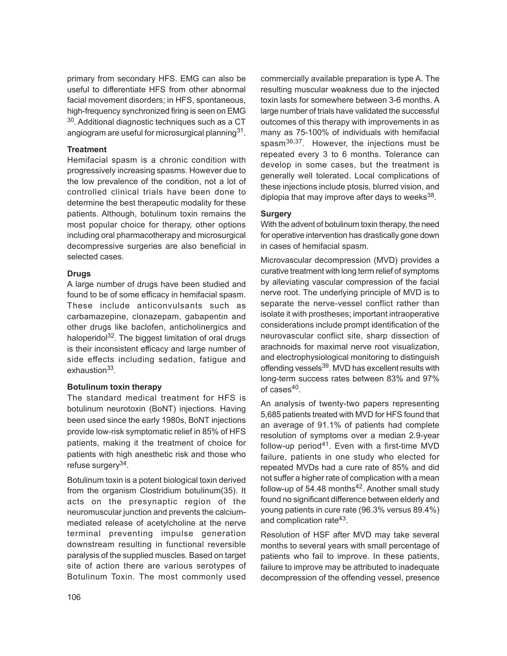primary from secondary HFS. EMG can also be useful to differentiate HFS from other abnormal facial movement disorders; in HFS, spontaneous, high-frequency synchronized firing is seen on EMG  $30$ . Additional diagnostic techniques such as a CT angiogram are useful for microsurgical planning $^{31}$ .

### **Treatment**

Hemifacial spasm is a chronic condition with progressively increasing spasms. However due to the low prevalence of the condition, not a lot of controlled clinical trials have been done to determine the best therapeutic modality for these patients. Although, botulinum toxin remains the most popular choice for therapy, other options including oral pharmacotherapy and microsurgical decompressive surgeries are also beneficial in selected cases.

### **Drugs**

A large number of drugs have been studied and found to be of some efficacy in hemifacial spasm. These include anticonvulsants such as carbamazepine, clonazepam, gabapentin and other drugs like baclofen, anticholinergics and haloperidol<sup>32</sup>. The biggest limitation of oral drugs is their inconsistent efficacy and large number of side effects including sedation, fatigue and exhaustion<sup>33</sup>.

#### **Botulinum toxin therapy**

The standard medical treatment for HFS is botulinum neurotoxin (BoNT) injections. Having been used since the early 1980s, BoNT injections provide low-risk symptomatic relief in 85% of HFS patients, making it the treatment of choice for patients with high anesthetic risk and those who refuse surgery<sup>34</sup>.

Botulinum toxin is a potent biological toxin derived from the organism Clostridium botulinum(35). It acts on the presynaptic region of the neuromuscular junction and prevents the calciummediated release of acetylcholine at the nerve terminal preventing impulse generation downstream resulting in functional reversible paralysis of the supplied muscles. Based on target site of action there are various serotypes of Botulinum Toxin. The most commonly used commercially available preparation is type A. The resulting muscular weakness due to the injected toxin lasts for somewhere between 3-6 months. A large number of trials have validated the successful outcomes of this therapy with improvements in as many as 75-100% of individuals with hemifacial spasm<sup>36,37</sup>. However, the injections must be repeated every 3 to 6 months. Tolerance can develop in some cases, but the treatment is generally well tolerated. Local complications of these injections include ptosis, blurred vision, and diplopia that may improve after days to weeks<sup>38</sup>.

# **Surgery**

With the advent of botulinum toxin therapy, the need for operative intervention has drastically gone down in cases of hemifacial spasm.

Microvascular decompression (MVD) provides a curative treatment with long term relief of symptoms by alleviating vascular compression of the facial nerve root. The underlying principle of MVD is to separate the nerve-vessel conflict rather than isolate it with prostheses; important intraoperative considerations include prompt identification of the neurovascular conflict site, sharp dissection of arachnoids for maximal nerve root visualization, and electrophysiological monitoring to distinguish offending vessels<sup>39</sup>. MVD has excellent results with long-term success rates between 83% and 97% of cases<sup>40</sup>.

An analysis of twenty-two papers representing 5,685 patients treated with MVD for HFS found that an average of 91.1% of patients had complete resolution of symptoms over a median 2.9-year follow-up period<sup>41</sup>. Even with a first-time MVD failure, patients in one study who elected for repeated MVDs had a cure rate of 85% and did not suffer a higher rate of complication with a mean follow-up of 54.48 months<sup>42</sup>. Another small study found no significant difference between elderly and young patients in cure rate (96.3% versus 89.4%) and complication rate<sup>43</sup>.

Resolution of HSF after MVD may take several months to several years with small percentage of patients who fail to improve. In these patients, failure to improve may be attributed to inadequate decompression of the offending vessel, presence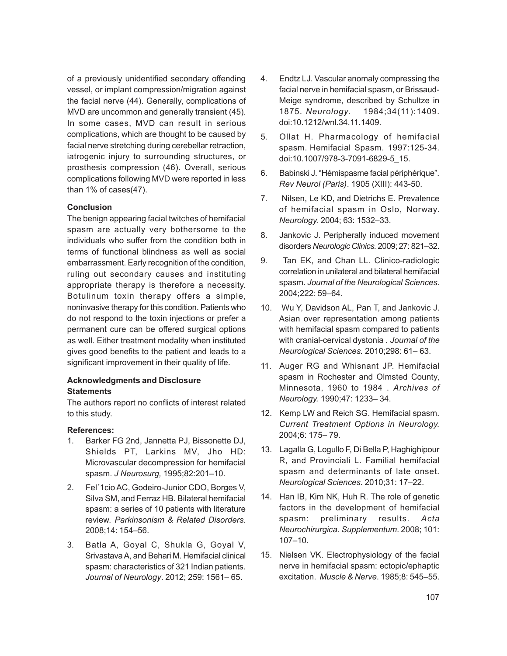of a previously unidentified secondary offending vessel, or implant compression/migration against the facial nerve (44). Generally, complications of MVD are uncommon and generally transient (45). In some cases, MVD can result in serious complications, which are thought to be caused by facial nerve stretching during cerebellar retraction, iatrogenic injury to surrounding structures, or prosthesis compression (46). Overall, serious complications following MVD were reported in less than 1% of cases(47).

### **Conclusion**

The benign appearing facial twitches of hemifacial spasm are actually very bothersome to the individuals who suffer from the condition both in terms of functional blindness as well as social embarrassment. Early recognition of the condition, ruling out secondary causes and instituting appropriate therapy is therefore a necessity. Botulinum toxin therapy offers a simple, noninvasive therapy for this condition. Patients who do not respond to the toxin injections or prefer a permanent cure can be offered surgical options as well. Either treatment modality when instituted gives good benefits to the patient and leads to a significant improvement in their quality of life.

### **Acknowledgments and Disclosure Statements**

The authors report no conflicts of interest related to this study.

# **References:**

- 1. Barker FG 2nd, Jannetta PJ, Bissonette DJ, Shields PT, Larkins MV, Jho HD: Microvascular decompression for hemifacial spasm. *J Neurosurg,* 1995;82:201–10.
- 2. Fel´1cio AC, Godeiro-Junior CDO, Borges V, Silva SM, and Ferraz HB. Bilateral hemifacial spasm: a series of 10 patients with literature review. *Parkinsonism & Related Disorders.* 2008;14: 154–56.
- 3. Batla A, Goyal C, Shukla G, Goyal V, Srivastava A, and Behari M. Hemifacial clinical spasm: characteristics of 321 Indian patients. *Journal of Neurology*. 2012; 259: 1561– 65.
- 4. Endtz LJ. Vascular anomaly compressing the facial nerve in hemifacial spasm, or Brissaud-Meige syndrome, described by Schultze in 1875. *Neurology*. 1984;34(11):1409. doi:10.1212/wnl.34.11.1409.
- 5. Ollat H. Pharmacology of hemifacial spasm. Hemifacial Spasm. 1997:125-34. doi:10.1007/978-3-7091-6829-5\_15.
- 6. Babinski J. "Hémispasme facial périphérique". *Rev Neurol (Paris)*. 1905 (XIII): 443-50.
- 7. Nilsen, Le KD, and Dietrichs E. Prevalence of hemifacial spasm in Oslo, Norway. *Neurology.* 2004; 63: 1532–33.
- 8. Jankovic J. Peripherally induced movement disorders *Neurologic Clinics.* 2009; 27: 821–32.
- 9. Tan EK, and Chan LL. Clinico-radiologic correlation in unilateral and bilateral hemifacial spasm. *Journal of the Neurological Sciences.* 2004;222: 59–64.
- 10. Wu Y, Davidson AL, Pan T, and Jankovic J. Asian over representation among patients with hemifacial spasm compared to patients with cranial-cervical dystonia . *Journal of the Neurological Sciences.* 2010;298: 61– 63.
- 11. Auger RG and Whisnant JP. Hemifacial spasm in Rochester and Olmsted County, Minnesota, 1960 to 1984 . *Archives of Neurology.* 1990;47: 1233– 34.
- 12. Kemp LW and Reich SG. Hemifacial spasm. *Current Treatment Options in Neurology.* 2004;6: 175– 79.
- 13. Lagalla G, Logullo F, Di Bella P, Haghighipour R, and Provinciali L. Familial hemifacial spasm and determinants of late onset. *Neurological Sciences*. 2010;31: 17–22.
- 14. Han IB, Kim NK, Huh R. The role of genetic factors in the development of hemifacial spasm: preliminary results. *Acta Neurochirurgica. Supplementum*. 2008; 101: 107–10.
- 15. Nielsen VK. Electrophysiology of the facial nerve in hemifacial spasm: ectopic/ephaptic excitation. *Muscle & Nerve*. 1985;8: 545–55.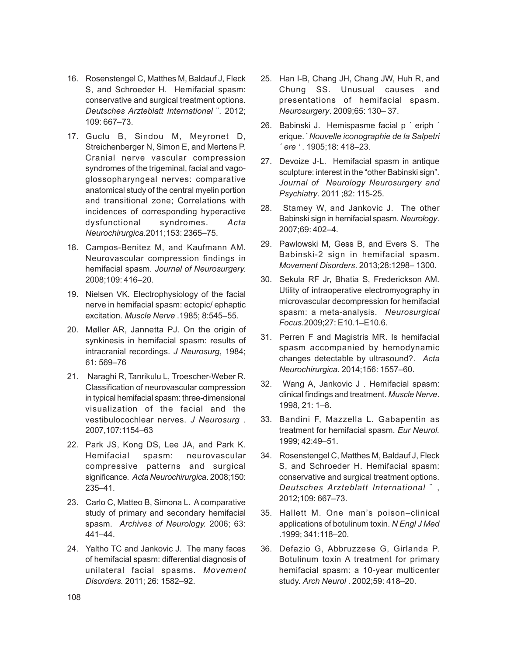- 16. Rosenstengel C, Matthes M, Baldauf J, Fleck S, and Schroeder H. Hemifacial spasm: conservative and surgical treatment options. *Deutsches Arzteblatt International* ¨. 2012; 109: 667–73.
- 17. Guclu B, Sindou M, Meyronet D, Streichenberger N, Simon E, and Mertens P. Cranial nerve vascular compression syndromes of the trigeminal, facial and vagoglossopharyngeal nerves: comparative anatomical study of the central myelin portion and transitional zone; Correlations with incidences of corresponding hyperactive dysfunctional syndromes. *Acta Neurochirurgica*.2011;153: 2365–75.
- 18. Campos-Benitez M, and Kaufmann AM. Neurovascular compression findings in hemifacial spasm. *Journal of Neurosurgery.* 2008;109: 416–20.
- 19. Nielsen VK. Electrophysiology of the facial nerve in hemifacial spasm: ectopic/ ephaptic excitation. *Muscle Nerve* .1985; 8:545–55.
- 20. Møller AR, Jannetta PJ. On the origin of synkinesis in hemifacial spasm: results of intracranial recordings. *J Neurosurg*, 1984; 61: 569–76
- 21. Naraghi R, Tanrikulu L, Troescher-Weber R. Classification of neurovascular compression in typical hemifacial spasm: three-dimensional visualization of the facial and the vestibulocochlear nerves. *J Neurosurg* . 2007,107:1154–63
- 22. Park JS, Kong DS, Lee JA, and Park K. Hemifacial spasm: neurovascular compressive patterns and surgical significance*. Acta Neurochirurgica*. 2008;150: 235–41.
- 23. Carlo C, Matteo B, Simona L. A comparative study of primary and secondary hemifacial spasm. *Archives of Neurology.* 2006; 63: 441–44.
- 24. Yaltho TC and Jankovic J. The many faces of hemifacial spasm: differential diagnosis of unilateral facial spasms. *Movement Disorders.* 2011; 26: 1582–92.
- 25. Han I-B, Chang JH, Chang JW, Huh R, and Chung SS. Unusual causes and presentations of hemifacial spasm. *Neurosurgery*. 2009;65: 130– 37.
- 26. Babinski J. Hemispasme facial p ´ eriph ´ erique.*´ Nouvelle iconographie de la Salpetri ´ ere '* . 1905;18: 418–23.
- 27. Devoize J-L. Hemifacial spasm in antique sculpture: interest in the "other Babinski sign". *Journal of Neurology Neurosurgery and Psychiatry*. 2011 ;82: 115-25.
- 28. Stamey W, and Jankovic J. The other Babinski sign in hemifacial spasm*. Neurology*. 2007;69: 402–4.
- 29. Pawlowski M, Gess B, and Evers S. The Babinski-2 sign in hemifacial spasm. *Movement Disorders*. 2013;28:1298– 1300.
- 30. Sekula RF Jr, Bhatia S, Frederickson AM. Utility of intraoperative electromyography in microvascular decompression for hemifacial spasm: a meta-analysis. *Neurosurgical Focus*.2009;27: E10.1–E10.6.
- 31. Perren F and Magistris MR. Is hemifacial spasm accompanied by hemodynamic changes detectable by ultrasound?. *Acta Neurochirurgica*. 2014;156: 1557–60.
- 32. Wang A, Jankovic J . Hemifacial spasm: clinical findings and treatment. *Muscle Nerve*. 1998, 21: 1–8.
- 33. Bandini F, Mazzella L. Gabapentin as treatment for hemifacial spasm. *Eur Neurol.* 1999; 42:49–51.
- 34. Rosenstengel C, Matthes M, Baldauf J, Fleck S, and Schroeder H. Hemifacial spasm: conservative and surgical treatment options. *Deutsches Arzteblatt International* ¨ , 2012;109: 667–73.
- 35. Hallett M. One man's poison–clinical applications of botulinum toxin. *N Engl J Med* .1999; 341:118–20.
- 36. Defazio G, Abbruzzese G, Girlanda P. Botulinum toxin A treatment for primary hemifacial spasm: a 10-year multicenter study. *Arch Neurol* . 2002;59: 418–20.